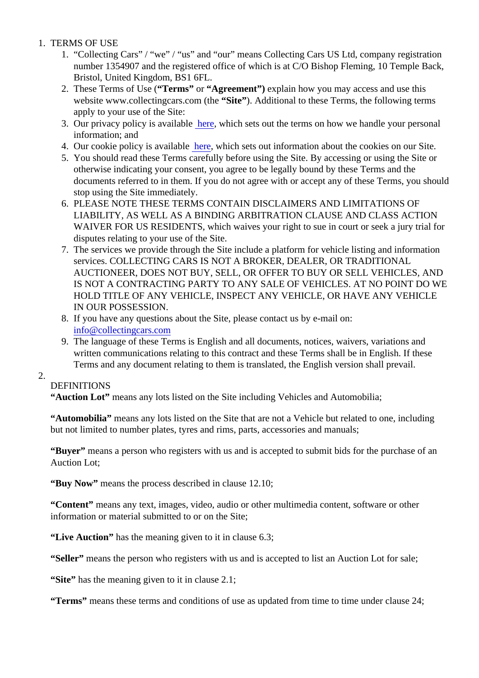- 1. TERMS OF USE
	- 1. "Collecting Cars" / "we" / "us" and "our" means Collecting Cars US Ltd, company registration number 1354907 and the registered office of which is at C/O Bishop Fleming, 10 Temple Back, Bristol, United Kingdom, BS1 6FL.
	- 2. These Terms of Use (Terms" or "Agreement") explain how you may access and use this website www.collectingcars.com (the ite"). Additional to these Terms, the following terms apply to your use of the Site:
	- 3. Our privacy policy is availabl[e here](https://collectingcars.com/privacy-policy/) which sets out the terms on how we handle your personal information; and
	- 4. Our cookie policy is availab[le here](https://collectingcars.com/cookie-policy/) which sets out information about the cookies on our Site.
	- 5. You should read these Terms carefully before using the Site. By accessing or using the Site or otherwise indicating your consent, you agree to be legally bound by these Terms and the documents referred to in them. If you do not agree with or accept any of these Terms, you shou stop using the Site immediately.
	- 6. PLEASE NOTE THESE TERMS CONTAIN DISCLAIMERS AND LIMITATIONS OF LIABILITY, AS WELL AS A BINDING ARBITRATION CLAUSE AND CLASS ACTION WAIVER FOR US RESIDENTS, which waives your right to sue in court or seek a jury trial for disputes relating to your use of the Site.
	- 7. The services we provide through the Site include a platform for vehicle listing and information services. COLLECTING CARS IS NOT A BROKER, DEALER, OR TRADITIONAL AUCTIONEER, DOES NOT BUY, SELL, OR OFFER TO BUY OR SELL VEHICLES, AND IS NOT A CONTRACTING PARTY TO ANY SALE OF VEHICLES. AT NO POINT DO WE HOLD TITLE OF ANY VEHICLE, INSPECT ANY VEHICLE, OR HAVE ANY VEHICLE IN OUR POSSESSION.
	- 8. If you have any questions about the Site, please contact us by e-mail on: [info@collectingcars.com](mailto:info@collectingcars.com)
	- 9. The language of these Terms is English and all documents, notices, waivers, variations and written communications relating to this contract and these Terms shall be in English. If these Terms and any document relating to them is translated, the English version shall prevail.

### 2.

# **DEFINITIONS**

"Auction Lot" means any lots listed on the Site including Vehicles and Automobilia;

"Automobilia" means any lots listed on the Site that are not a Vehicle but related to one, including but not limited to number plates, tyres and rims, parts, accessories and manuals;

"Buyer" means a person who registers with us and is accepted to submit bids for the purchase of an Auction Lot;

"Buy Now" means the process described in clause 12.10;

"Content" means any text, images, video, audio or other multimedia content, software or other information or material submitted to or on the Site;

"Live Auction" has the meaning given to it in clause 6.3;

"Seller" means the person who registers with us and is accepted to list an Auction Lot for sale;

"Site" has the meaning given to it in clause 2.1;

"Terms" means these terms and conditions of use as updated from time to time under clause 24;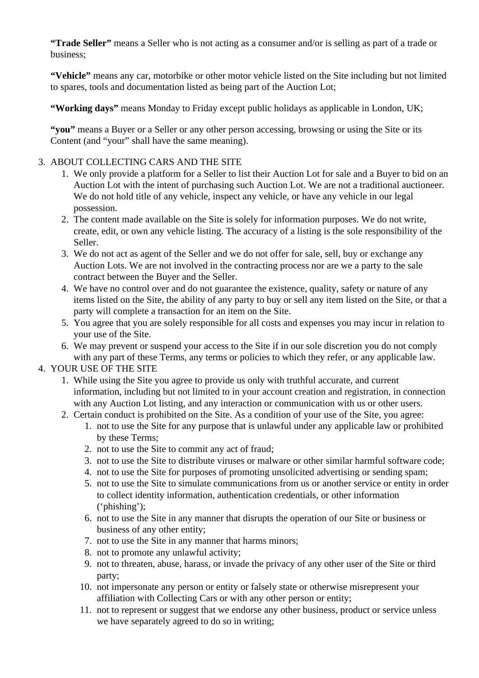**"Trade Seller"** means a Seller who is not acting as a consumer and/or is selling as part of a trade or business;

**"Vehicle"** means any car, motorbike or other motor vehicle listed on the Site including but not limited to spares, tools and documentation listed as being part of the Auction Lot;

**"Working days"** means Monday to Friday except public holidays as applicable in London, UK;

**"you"** means a Buyer or a Seller or any other person accessing, browsing or using the Site or its Content (and "your" shall have the same meaning).

### 3. ABOUT COLLECTING CARS AND THE SITE

- 1. We only provide a platform for a Seller to list their Auction Lot for sale and a Buyer to bid on an Auction Lot with the intent of purchasing such Auction Lot. We are not a traditional auctioneer. We do not hold title of any vehicle, inspect any vehicle, or have any vehicle in our legal possession.
- 2. The content made available on the Site is solely for information purposes. We do not write, create, edit, or own any vehicle listing. The accuracy of a listing is the sole responsibility of the Seller.
- 3. We do not act as agent of the Seller and we do not offer for sale, sell, buy or exchange any Auction Lots. We are not involved in the contracting process nor are we a party to the sale contract between the Buyer and the Seller.
- 4. We have no control over and do not guarantee the existence, quality, safety or nature of any items listed on the Site, the ability of any party to buy or sell any item listed on the Site, or that a party will complete a transaction for an item on the Site.
- 5. You agree that you are solely responsible for all costs and expenses you may incur in relation to your use of the Site.
- 6. We may prevent or suspend your access to the Site if in our sole discretion you do not comply with any part of these Terms, any terms or policies to which they refer, or any applicable law.

### 4. YOUR USE OF THE SITE

- 1. While using the Site you agree to provide us only with truthful accurate, and current information, including but not limited to in your account creation and registration, in connection with any Auction Lot listing, and any interaction or communication with us or other users.
- 2. Certain conduct is prohibited on the Site. As a condition of your use of the Site, you agree:
	- 1. not to use the Site for any purpose that is unlawful under any applicable law or prohibited by these Terms;
	- 2. not to use the Site to commit any act of fraud;
	- 3. not to use the Site to distribute viruses or malware or other similar harmful software code;
	- 4. not to use the Site for purposes of promoting unsolicited advertising or sending spam;
	- 5. not to use the Site to simulate communications from us or another service or entity in order to collect identity information, authentication credentials, or other information ('phishing');
	- 6. not to use the Site in any manner that disrupts the operation of our Site or business or business of any other entity;
	- 7. not to use the Site in any manner that harms minors;
	- 8. not to promote any unlawful activity;
	- 9. not to threaten, abuse, harass, or invade the privacy of any other user of the Site or third party;
	- 10. not impersonate any person or entity or falsely state or otherwise misrepresent your affiliation with Collecting Cars or with any other person or entity;
	- 11. not to represent or suggest that we endorse any other business, product or service unless we have separately agreed to do so in writing;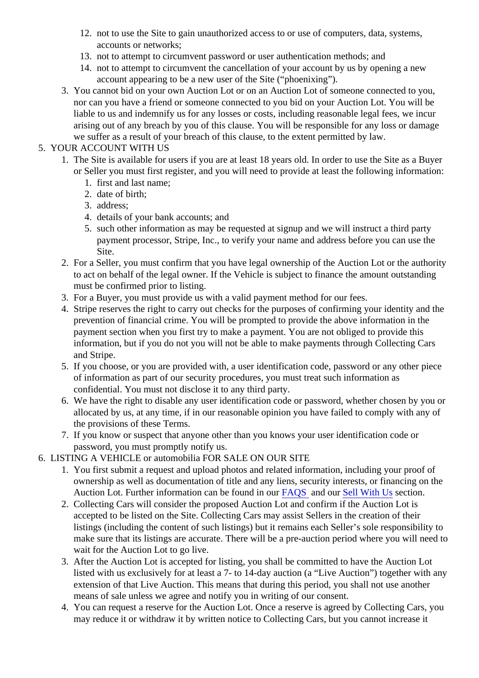- 12. not to use the Site to gain unauthorized access to or use of computers, data, systems, accounts or networks;
- 13. not to attempt to circumvent password or user authentication methods; and
- 14. not to attempt to circumvent the cancellation of your account by us by opening a new account appearing to be a new user of the Site ("phoenixing").
- 3. You cannot bid on your own Auction Lot or on an Auction Lot of someone connected to you, nor can you have a friend or someone connected to you bid on your Auction Lot. You will be liable to us and indemnify us for any losses or costs, including reasonable legal fees, we incur arising out of any breach by you of this clause. You will be responsible for any loss or damage we suffer as a result of your breach of this clause, to the extent permitted by law.

# 5. YOUR ACCOUNT WITH US

- 1. The Site is available for users if you are at least 18 years old. In order to use the Site as a Buye or Seller you must first register, and you will need to provide at least the following information:
	- 1. first and last name;
	- 2. date of birth;
	- 3. address;
	- 4. details of your bank accounts; and
	- 5. such other information as may be requested at signup and we will instruct a third party payment processor, Stripe, Inc., to verify your name and address before you can use the Site.
	- 2. For a Seller, you must confirm that you have legal ownership of the Auction Lot or the authority to act on behalf of the legal owner. If the Vehicle is subject to finance the amount outstanding must be confirmed prior to listing.
	- 3. For a Buyer, you must provide us with a valid payment method for our fees.
	- 4. Stripe reserves the right to carry out checks for the purposes of confirming your identity and the prevention of financial crime. You will be prompted to provide the above information in the payment section when you first try to make a payment. You are not obliged to provide this information, but if you do not you will not be able to make payments through Collecting Cars and Stripe.
	- 5. If you choose, or you are provided with, a user identification code, password or any other piece of information as part of our security procedures, you must treat such information as confidential. You must not disclose it to any third party.
	- 6. We have the right to disable any user identification code or password, whether chosen by you or allocated by us, at any time, if in our reasonable opinion you have failed to comply with any of the provisions of these Terms.
	- 7. If you know or suspect that anyone other than you knows your user identification code or password, you must promptly notify us.
- 6. LISTING A VEHICLE or automobilia FOR SALE ON OUR SITE
	- 1. You first submit a request and upload photos and related information, including your proof of ownership as well as documentation of title and any liens, security interests, or financing on the Auction Lot. Further information can be found in  $\overline{64}$ QS and ou[r Sell With Us](https://collectingcars.com/sell/)section.
	- 2. Collecting Cars will consider the proposed Auction Lot and confirm if the Auction Lot is accepted to be listed on the Site. Collecting Cars may assist Sellers in the creation of their listings (including the content of such listings) but it remains each Seller's sole responsibility to make sure that its listings are accurate. There will be a pre-auction period where you will need to wait for the Auction Lot to go live.
	- 3. After the Auction Lot is accepted for listing, you shall be committed to have the Auction Lot listed with us exclusively for at least a 7- to 14-day auction (a "Live Auction") together with any extension of that Live Auction. This means that during this period, you shall not use another means of sale unless we agree and notify you in writing of our consent.
	- 4. You can request a reserve for the Auction Lot. Once a reserve is agreed by Collecting Cars, yo may reduce it or withdraw it by written notice to Collecting Cars, but you cannot increase it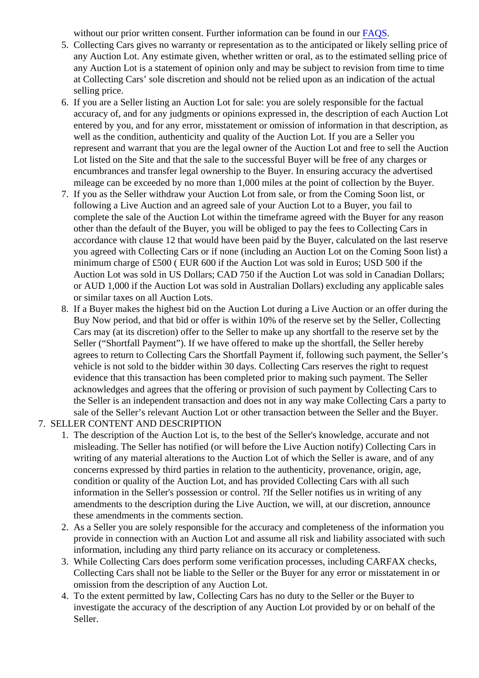without our prior written consent. Further information can be found  $\text{in } \text{FAGS}$ .

- 5. Collecting Cars gives no warranty or representation as to the anticipated or likely selling price o any Auction Lot. Any estimate given, whether written or oral, as to the estimated selling price of any Auction Lot is a statement of opinion only and may be subject to revision from time to time at Collecting Cars' sole discretion and should not be relied upon as an indication of the actual selling price.
- 6. If you are a Seller listing an Auction Lot for sale: you are solely responsible for the factual accuracy of, and for any judgments or opinions expressed in, the description of each Auction Lot entered by you, and for any error, misstatement or omission of information in that description, a well as the condition, authenticity and quality of the Auction Lot. If you are a Seller you represent and warrant that you are the legal owner of the Auction Lot and free to sell the Auction Lot listed on the Site and that the sale to the successful Buyer will be free of any charges or encumbrances and transfer legal ownership to the Buyer. In ensuring accuracy the advertised mileage can be exceeded by no more than 1,000 miles at the point of collection by the Buyer.
- 7. If you as the Seller withdraw your Auction Lot from sale, or from the Coming Soon list, or following a Live Auction and an agreed sale of your Auction Lot to a Buyer, you fail to complete the sale of the Auction Lot within the timeframe agreed with the Buyer for any reason other than the default of the Buyer, you will be obliged to pay the fees to Collecting Cars in accordance with clause 12 that would have been paid by the Buyer, calculated on the last reser you agreed with Collecting Cars or if none (including an Auction Lot on the Coming Soon list) a minimum charge of £500 ( EUR 600 if the Auction Lot was sold in Euros; USD 500 if the Auction Lot was sold in US Dollars; CAD 750 if the Auction Lot was sold in Canadian Dollars; or AUD 1,000 if the Auction Lot was sold in Australian Dollars) excluding any applicable sales or similar taxes on all Auction Lots.
- 8. If a Buyer makes the highest bid on the Auction Lot during a Live Auction or an offer during the Buy Now period, and that bid or offer is within 10% of the reserve set by the Seller, Collecting Cars may (at its discretion) offer to the Seller to make up any shortfall to the reserve set by the Seller ("Shortfall Payment"). If we have offered to make up the shortfall, the Seller hereby agrees to return to Collecting Cars the Shortfall Payment if, following such payment, the Seller's vehicle is not sold to the bidder within 30 days. Collecting Cars reserves the right to request evidence that this transaction has been completed prior to making such payment. The Seller acknowledges and agrees that the offering or provision of such payment by Collecting Cars to the Seller is an independent transaction and does not in any way make Collecting Cars a party sale of the Seller's relevant Auction Lot or other transaction between the Seller and the Buyer.
- 7. SELLER CONTENT AND DESCRIPTION
	- 1. The description of the Auction Lot is, to the best of the Seller's knowledge, accurate and not misleading. The Seller has notified (or will before the Live Auction notify) Collecting Cars in writing of any material alterations to the Auction Lot of which the Seller is aware, and of any concerns expressed by third parties in relation to the authenticity, provenance, origin, age, condition or quality of the Auction Lot, and has provided Collecting Cars with all such information in the Seller's possession or control. ?If the Seller notifies us in writing of any amendments to the description during the Live Auction, we will, at our discretion, announce these amendments in the comments section.
	- 2. As a Seller you are solely responsible for the accuracy and completeness of the information you provide in connection with an Auction Lot and assume all risk and liability associated with such information, including any third party reliance on its accuracy or completeness.
	- 3. While Collecting Cars does perform some verification processes, including CARFAX checks, Collecting Cars shall not be liable to the Seller or the Buyer for any error or misstatement in or omission from the description of any Auction Lot.
	- 4. To the extent permitted by law, Collecting Cars has no duty to the Seller or the Buyer to investigate the accuracy of the description of any Auction Lot provided by or on behalf of the Seller.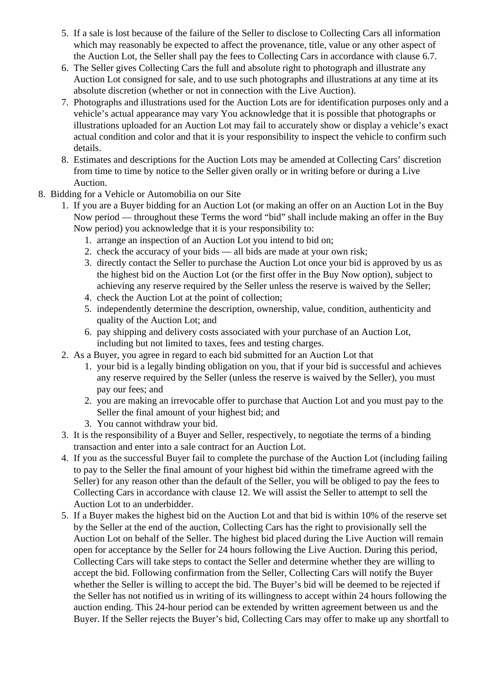- 5. If a sale is lost because of the failure of the Seller to disclose to Collecting Cars all information which may reasonably be expected to affect the provenance, title, value or any other aspect of the Auction Lot, the Seller shall pay the fees to Collecting Cars in accordance with clause 6.7.
- 6. The Seller gives Collecting Cars the full and absolute right to photograph and illustrate any Auction Lot consigned for sale, and to use such photographs and illustrations at any time at its absolute discretion (whether or not in connection with the Live Auction).
- 7. Photographs and illustrations used for the Auction Lots are for identification purposes only and a vehicle's actual appearance may vary You acknowledge that it is possible that photographs or illustrations uploaded for an Auction Lot may fail to accurately show or display a vehicle's exact actual condition and color and that it is your responsibility to inspect the vehicle to confirm such details.
- 8. Estimates and descriptions for the Auction Lots may be amended at Collecting Cars' discretion from time to time by notice to the Seller given orally or in writing before or during a Live Auction.
- 8. Bidding for a Vehicle or Automobilia on our Site
	- 1. If you are a Buyer bidding for an Auction Lot (or making an offer on an Auction Lot in the Buy Now period — throughout these Terms the word "bid" shall include making an offer in the Buy Now period) you acknowledge that it is your responsibility to:
		- 1. arrange an inspection of an Auction Lot you intend to bid on;
		- 2. check the accuracy of your bids all bids are made at your own risk;
		- 3. directly contact the Seller to purchase the Auction Lot once your bid is approved by us as the highest bid on the Auction Lot (or the first offer in the Buy Now option), subject to achieving any reserve required by the Seller unless the reserve is waived by the Seller;
		- 4. check the Auction Lot at the point of collection;
		- 5. independently determine the description, ownership, value, condition, authenticity and quality of the Auction Lot; and
		- 6. pay shipping and delivery costs associated with your purchase of an Auction Lot, including but not limited to taxes, fees and testing charges.
	- 2. As a Buyer, you agree in regard to each bid submitted for an Auction Lot that
		- 1. your bid is a legally binding obligation on you, that if your bid is successful and achieves any reserve required by the Seller (unless the reserve is waived by the Seller), you must pay our fees; and
		- 2. you are making an irrevocable offer to purchase that Auction Lot and you must pay to the Seller the final amount of your highest bid; and
		- 3. You cannot withdraw your bid.
	- 3. It is the responsibility of a Buyer and Seller, respectively, to negotiate the terms of a binding transaction and enter into a sale contract for an Auction Lot.
	- 4. If you as the successful Buyer fail to complete the purchase of the Auction Lot (including failing to pay to the Seller the final amount of your highest bid within the timeframe agreed with the Seller) for any reason other than the default of the Seller, you will be obliged to pay the fees to Collecting Cars in accordance with clause 12. We will assist the Seller to attempt to sell the Auction Lot to an underbidder.
	- 5. If a Buyer makes the highest bid on the Auction Lot and that bid is within 10% of the reserve set by the Seller at the end of the auction, Collecting Cars has the right to provisionally sell the Auction Lot on behalf of the Seller. The highest bid placed during the Live Auction will remain open for acceptance by the Seller for 24 hours following the Live Auction. During this period, Collecting Cars will take steps to contact the Seller and determine whether they are willing to accept the bid. Following confirmation from the Seller, Collecting Cars will notify the Buyer whether the Seller is willing to accept the bid. The Buyer's bid will be deemed to be rejected if the Seller has not notified us in writing of its willingness to accept within 24 hours following the auction ending. This 24-hour period can be extended by written agreement between us and the Buyer. If the Seller rejects the Buyer's bid, Collecting Cars may offer to make up any shortfall to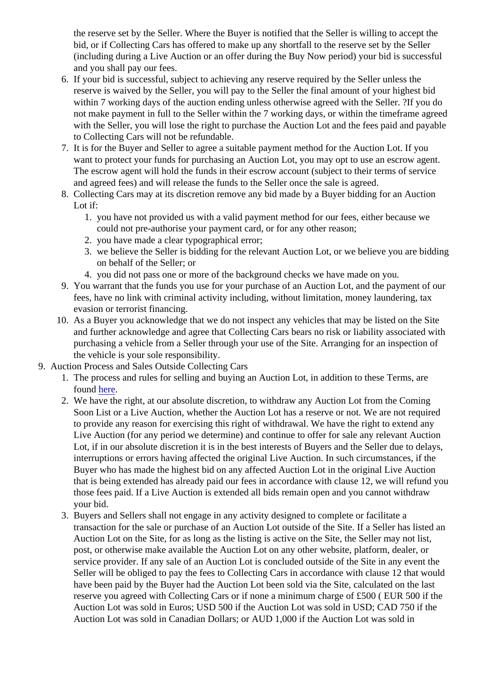the reserve set by the Seller. Where the Buyer is notified that the Seller is willing to accept the bid, or if Collecting Cars has offered to make up any shortfall to the reserve set by the Seller (including during a Live Auction or an offer during the Buy Now period) your bid is successful and you shall pay our fees.

- 6. If your bid is successful, subject to achieving any reserve required by the Seller unless the reserve is waived by the Seller, you will pay to the Seller the final amount of your highest bid within 7 working days of the auction ending unless otherwise agreed with the Seller. ?If you do not make payment in full to the Seller within the 7 working days, or within the timeframe agreed with the Seller, you will lose the right to purchase the Auction Lot and the fees paid and payable to Collecting Cars will not be refundable.
- 7. It is for the Buyer and Seller to agree a suitable payment method for the Auction Lot. If you want to protect your funds for purchasing an Auction Lot, you may opt to use an escrow agent. The escrow agent will hold the funds in their escrow account (subject to their terms of service and agreed fees) and will release the funds to the Seller once the sale is agreed.
- 8. Collecting Cars may at its discretion remove any bid made by a Buyer bidding for an Auction Lot if:
	- 1. you have not provided us with a valid payment method for our fees, either because we could not pre-authorise your payment card, or for any other reason;
	- 2. you have made a clear typographical error;
	- 3. we believe the Seller is bidding for the relevant Auction Lot, or we believe you are bidding on behalf of the Seller; or
	- 4. you did not pass one or more of the background checks we have made on you.
- 9. You warrant that the funds you use for your purchase of an Auction Lot, and the payment of our fees, have no link with criminal activity including, without limitation, money laundering, tax evasion or terrorist financing.
- 10. As a Buyer you acknowledge that we do not inspect any vehicles that may be listed on the Site and further acknowledge and agree that Collecting Cars bears no risk or liability associated with purchasing a vehicle from a Seller through your use of the Site. Arranging for an inspection of the vehicle is your sole responsibility.
- 9. Auction Process and Sales Outside Collecting Cars
	- 1. The process and rules for selling and buying an Auction Lot, in addition to these Terms, are **found [here](/faqs/)**
	- 2. We have the right, at our absolute discretion, to withdraw any Auction Lot from the Coming Soon List or a Live Auction, whether the Auction Lot has a reserve or not. We are not required to provide any reason for exercising this right of withdrawal. We have the right to extend any Live Auction (for any period we determine) and continue to offer for sale any relevant Auction Lot, if in our absolute discretion it is in the best interests of Buyers and the Seller due to delays, interruptions or errors having affected the original Live Auction. In such circumstances, if the Buyer who has made the highest bid on any affected Auction Lot in the original Live Auction that is being extended has already paid our fees in accordance with clause 12, we will refund  $y_1$ those fees paid. If a Live Auction is extended all bids remain open and you cannot withdraw your bid.
	- 3. Buyers and Sellers shall not engage in any activity designed to complete or facilitate a transaction for the sale or purchase of an Auction Lot outside of the Site. If a Seller has listed a Auction Lot on the Site, for as long as the listing is active on the Site, the Seller may not list, post, or otherwise make available the Auction Lot on any other website, platform, dealer, or service provider. If any sale of an Auction Lot is concluded outside of the Site in any event the Seller will be obliged to pay the fees to Collecting Cars in accordance with clause 12 that would have been paid by the Buyer had the Auction Lot been sold via the Site, calculated on the last reserve you agreed with Collecting Cars or if none a minimum charge of £500 ( EUR 500 if the Auction Lot was sold in Euros; USD 500 if the Auction Lot was sold in USD; CAD 750 if the Auction Lot was sold in Canadian Dollars; or AUD 1,000 if the Auction Lot was sold in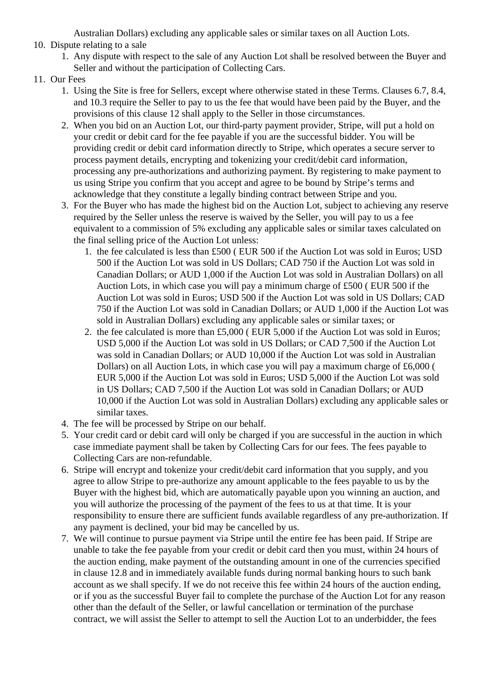Australian Dollars) excluding any applicable sales or similar taxes on all Auction Lots.

## 10. Dispute relating to a sale

- 1. Any dispute with respect to the sale of any Auction Lot shall be resolved between the Buyer and Seller and without the participation of Collecting Cars.
- 11. Our Fees
	- 1. Using the Site is free for Sellers, except where otherwise stated in these Terms. Clauses 6.7, 8.4, and 10.3 require the Seller to pay to us the fee that would have been paid by the Buyer, and the provisions of this clause 12 shall apply to the Seller in those circumstances.
	- 2. When you bid on an Auction Lot, our third-party payment provider, Stripe, will put a hold on your credit or debit card for the fee payable if you are the successful bidder. You will be providing credit or debit card information directly to Stripe, which operates a secure server to process payment details, encrypting and tokenizing your credit/debit card information, processing any pre-authorizations and authorizing payment. By registering to make payment to us using Stripe you confirm that you accept and agree to be bound by Stripe's terms and acknowledge that they constitute a legally binding contract between Stripe and you.
	- 3. For the Buyer who has made the highest bid on the Auction Lot, subject to achieving any reserve required by the Seller unless the reserve is waived by the Seller, you will pay to us a fee equivalent to a commission of 5% excluding any applicable sales or similar taxes calculated on the final selling price of the Auction Lot unless:
		- 1. the fee calculated is less than £500 ( EUR 500 if the Auction Lot was sold in Euros; USD 500 if the Auction Lot was sold in US Dollars; CAD 750 if the Auction Lot was sold in Canadian Dollars; or AUD 1,000 if the Auction Lot was sold in Australian Dollars) on all Auction Lots, in which case you will pay a minimum charge of £500 ( EUR 500 if the Auction Lot was sold in Euros; USD 500 if the Auction Lot was sold in US Dollars; CAD 750 if the Auction Lot was sold in Canadian Dollars; or AUD 1,000 if the Auction Lot was sold in Australian Dollars) excluding any applicable sales or similar taxes; or
		- 2. the fee calculated is more than £5,000 ( EUR 5,000 if the Auction Lot was sold in Euros; USD 5,000 if the Auction Lot was sold in US Dollars; or CAD 7,500 if the Auction Lot was sold in Canadian Dollars; or AUD 10,000 if the Auction Lot was sold in Australian Dollars) on all Auction Lots, in which case you will pay a maximum charge of £6,000 ( EUR 5,000 if the Auction Lot was sold in Euros; USD 5,000 if the Auction Lot was sold in US Dollars; CAD 7,500 if the Auction Lot was sold in Canadian Dollars; or AUD 10,000 if the Auction Lot was sold in Australian Dollars) excluding any applicable sales or similar taxes.
	- 4. The fee will be processed by Stripe on our behalf.
	- 5. Your credit card or debit card will only be charged if you are successful in the auction in which case immediate payment shall be taken by Collecting Cars for our fees. The fees payable to Collecting Cars are non-refundable.
	- 6. Stripe will encrypt and tokenize your credit/debit card information that you supply, and you agree to allow Stripe to pre-authorize any amount applicable to the fees payable to us by the Buyer with the highest bid, which are automatically payable upon you winning an auction, and you will authorize the processing of the payment of the fees to us at that time. It is your responsibility to ensure there are sufficient funds available regardless of any pre-authorization. If any payment is declined, your bid may be cancelled by us.
	- 7. We will continue to pursue payment via Stripe until the entire fee has been paid. If Stripe are unable to take the fee payable from your credit or debit card then you must, within 24 hours of the auction ending, make payment of the outstanding amount in one of the currencies specified in clause 12.8 and in immediately available funds during normal banking hours to such bank account as we shall specify. If we do not receive this fee within 24 hours of the auction ending, or if you as the successful Buyer fail to complete the purchase of the Auction Lot for any reason other than the default of the Seller, or lawful cancellation or termination of the purchase contract, we will assist the Seller to attempt to sell the Auction Lot to an underbidder, the fees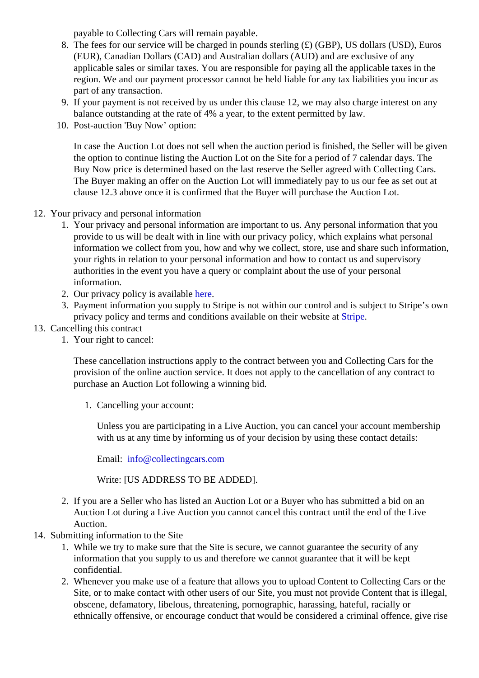payable to Collecting Cars will remain payable.

- 8. The fees for our service will be charged in pounds sterling (£) (GBP), US dollars (USD), Euros (EUR), Canadian Dollars (CAD) and Australian dollars (AUD) and are exclusive of any applicable sales or similar taxes. You are responsible for paying all the applicable taxes in the region. We and our payment processor cannot be held liable for any tax liabilities you incur as part of any transaction.
- 9. If your payment is not received by us under this clause 12, we may also charge interest on any balance outstanding at the rate of 4% a year, to the extent permitted by law.
- 10. Post-auction 'Buy Now' option:

In case the Auction Lot does not sell when the auction period is finished, the Seller will be giver the option to continue listing the Auction Lot on the Site for a period of 7 calendar days. The Buy Now price is determined based on the last reserve the Seller agreed with Collecting Cars. The Buyer making an offer on the Auction Lot will immediately pay to us our fee as set out at clause 12.3 above once it is confirmed that the Buyer will purchase the Auction Lot.

- 12. Your privacy and personal information
	- 1. Your privacy and personal information are important to us. Any personal information that you provide to us will be dealt with in line with our privacy policy, which explains what personal information we collect from you, how and why we collect, store, use and share such informatior your rights in relation to your personal information and how to contact us and supervisory authorities in the event you have a query or complaint about the use of your personal information.
	- 2. Our privacy policy is availableere.
	- 3. Payment information you supply to Stripe is not within our control and is subject to Stripe's own privacy policy and terms and conditions available on their websatriate
- 13. Cancelling this contract
	- 1. Your right to cancel:

These cancellation instructions apply to the contract between you and Collecting Cars for the provision of the online auction service. It does not apply to the cancellation of any contract to purchase an Auction Lot following a winning bid.

1. Cancelling your account:

Unless you are participating in a Live Auction, you can cancel your account membership with us at any time by informing us of your decision by using these contact details:

Email: [info@collectingcars.com](mailto:info@collectingcars.com)

Write: [US ADDRESS TO BE ADDED].

- 2. If you are a Seller who has listed an Auction Lot or a Buyer who has submitted a bid on an Auction Lot during a Live Auction you cannot cancel this contract until the end of the Live Auction.
- 14. Submitting information to the Site
	- 1. While we try to make sure that the Site is secure, we cannot guarantee the security of any information that you supply to us and therefore we cannot guarantee that it will be kept confidential.
	- 2. Whenever you make use of a feature that allows you to upload Content to Collecting Cars or the Site, or to make contact with other users of our Site, you must not provide Content that is illegal obscene, defamatory, libelous, threatening, pornographic, harassing, hateful, racially or ethnically offensive, or encourage conduct that would be considered a criminal offence, give ris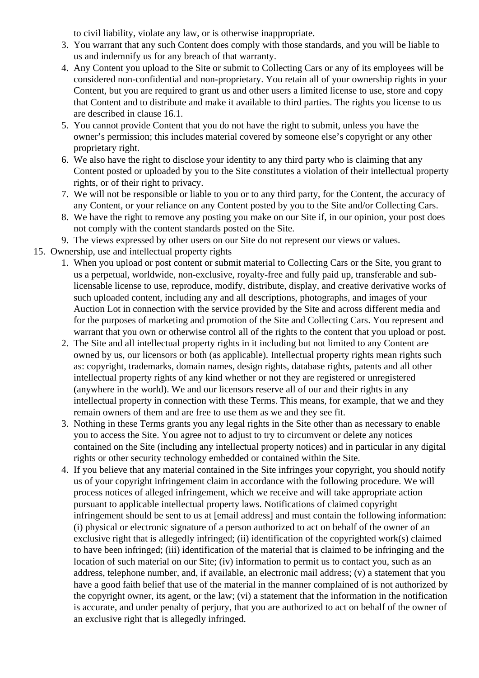to civil liability, violate any law, or is otherwise inappropriate.

- 3. You warrant that any such Content does comply with those standards, and you will be liable to us and indemnify us for any breach of that warranty.
- 4. Any Content you upload to the Site or submit to Collecting Cars or any of its employees will be considered non-confidential and non-proprietary. You retain all of your ownership rights in your Content, but you are required to grant us and other users a limited license to use, store and copy that Content and to distribute and make it available to third parties. The rights you license to us are described in clause 16.1.
- 5. You cannot provide Content that you do not have the right to submit, unless you have the owner's permission; this includes material covered by someone else's copyright or any other proprietary right.
- 6. We also have the right to disclose your identity to any third party who is claiming that any Content posted or uploaded by you to the Site constitutes a violation of their intellectual property rights, or of their right to privacy.
- 7. We will not be responsible or liable to you or to any third party, for the Content, the accuracy of any Content, or your reliance on any Content posted by you to the Site and/or Collecting Cars.
- 8. We have the right to remove any posting you make on our Site if, in our opinion, your post does not comply with the content standards posted on the Site.
- 9. The views expressed by other users on our Site do not represent our views or values.
- 15. Ownership, use and intellectual property rights
	- 1. When you upload or post content or submit material to Collecting Cars or the Site, you grant to us a perpetual, worldwide, non-exclusive, royalty-free and fully paid up, transferable and sublicensable license to use, reproduce, modify, distribute, display, and creative derivative works of such uploaded content, including any and all descriptions, photographs, and images of your Auction Lot in connection with the service provided by the Site and across different media and for the purposes of marketing and promotion of the Site and Collecting Cars. You represent and warrant that you own or otherwise control all of the rights to the content that you upload or post.
	- 2. The Site and all intellectual property rights in it including but not limited to any Content are owned by us, our licensors or both (as applicable). Intellectual property rights mean rights such as: copyright, trademarks, domain names, design rights, database rights, patents and all other intellectual property rights of any kind whether or not they are registered or unregistered (anywhere in the world). We and our licensors reserve all of our and their rights in any intellectual property in connection with these Terms. This means, for example, that we and they remain owners of them and are free to use them as we and they see fit.
	- 3. Nothing in these Terms grants you any legal rights in the Site other than as necessary to enable you to access the Site. You agree not to adjust to try to circumvent or delete any notices contained on the Site (including any intellectual property notices) and in particular in any digital rights or other security technology embedded or contained within the Site.
	- 4. If you believe that any material contained in the Site infringes your copyright, you should notify us of your copyright infringement claim in accordance with the following procedure. We will process notices of alleged infringement, which we receive and will take appropriate action pursuant to applicable intellectual property laws. Notifications of claimed copyright infringement should be sent to us at [email address] and must contain the following information: (i) physical or electronic signature of a person authorized to act on behalf of the owner of an exclusive right that is allegedly infringed; (ii) identification of the copyrighted work(s) claimed to have been infringed; (iii) identification of the material that is claimed to be infringing and the location of such material on our Site; (iv) information to permit us to contact you, such as an address, telephone number, and, if available, an electronic mail address; (v) a statement that you have a good faith belief that use of the material in the manner complained of is not authorized by the copyright owner, its agent, or the law; (vi) a statement that the information in the notification is accurate, and under penalty of perjury, that you are authorized to act on behalf of the owner of an exclusive right that is allegedly infringed.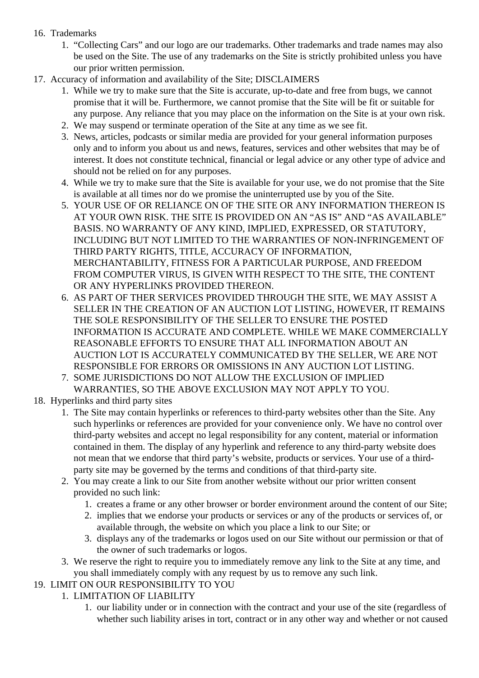# 16. Trademarks

- 1. "Collecting Cars" and our logo are our trademarks. Other trademarks and trade names may also be used on the Site. The use of any trademarks on the Site is strictly prohibited unless you have our prior written permission.
- 17. Accuracy of information and availability of the Site; DISCLAIMERS
	- 1. While we try to make sure that the Site is accurate, up-to-date and free from bugs, we cannot promise that it will be. Furthermore, we cannot promise that the Site will be fit or suitable for any purpose. Any reliance that you may place on the information on the Site is at your own risk.
	- 2. We may suspend or terminate operation of the Site at any time as we see fit.
	- 3. News, articles, podcasts or similar media are provided for your general information purposes only and to inform you about us and news, features, services and other websites that may be of interest. It does not constitute technical, financial or legal advice or any other type of advice and should not be relied on for any purposes.
	- 4. While we try to make sure that the Site is available for your use, we do not promise that the Site is available at all times nor do we promise the uninterrupted use by you of the Site.
	- 5. YOUR USE OF OR RELIANCE ON OF THE SITE OR ANY INFORMATION THEREON IS AT YOUR OWN RISK. THE SITE IS PROVIDED ON AN "AS IS" AND "AS AVAILABLE" BASIS. NO WARRANTY OF ANY KIND, IMPLIED, EXPRESSED, OR STATUTORY, INCLUDING BUT NOT LIMITED TO THE WARRANTIES OF NON-INFRINGEMENT OF THIRD PARTY RIGHTS, TITLE, ACCURACY OF INFORMATION, MERCHANTABILITY, FITNESS FOR A PARTICULAR PURPOSE, AND FREEDOM FROM COMPUTER VIRUS, IS GIVEN WITH RESPECT TO THE SITE, THE CONTENT OR ANY HYPERLINKS PROVIDED THEREON.
	- 6. AS PART OF THER SERVICES PROVIDED THROUGH THE SITE, WE MAY ASSIST A SELLER IN THE CREATION OF AN AUCTION LOT LISTING, HOWEVER, IT REMAINS THE SOLE RESPONSIBILITY OF THE SELLER TO ENSURE THE POSTED INFORMATION IS ACCURATE AND COMPLETE. WHILE WE MAKE COMMERCIALLY REASONABLE EFFORTS TO ENSURE THAT ALL INFORMATION ABOUT AN AUCTION LOT IS ACCURATELY COMMUNICATED BY THE SELLER, WE ARE NOT RESPONSIBLE FOR ERRORS OR OMISSIONS IN ANY AUCTION LOT LISTING.
	- 7. SOME JURISDICTIONS DO NOT ALLOW THE EXCLUSION OF IMPLIED WARRANTIES, SO THE ABOVE EXCLUSION MAY NOT APPLY TO YOU.
- 18. Hyperlinks and third party sites
	- 1. The Site may contain hyperlinks or references to third-party websites other than the Site. Any such hyperlinks or references are provided for your convenience only. We have no control over third-party websites and accept no legal responsibility for any content, material or information contained in them. The display of any hyperlink and reference to any third-party website does not mean that we endorse that third party's website, products or services. Your use of a thirdparty site may be governed by the terms and conditions of that third-party site.
	- 2. You may create a link to our Site from another website without our prior written consent provided no such link:
		- 1. creates a frame or any other browser or border environment around the content of our Site;
		- 2. implies that we endorse your products or services or any of the products or services of, or available through, the website on which you place a link to our Site; or
		- 3. displays any of the trademarks or logos used on our Site without our permission or that of the owner of such trademarks or logos.
	- 3. We reserve the right to require you to immediately remove any link to the Site at any time, and you shall immediately comply with any request by us to remove any such link.

# 19. LIMIT ON OUR RESPONSIBILITY TO YOU

# 1. LIMITATION OF LIABILITY

1. our liability under or in connection with the contract and your use of the site (regardless of whether such liability arises in tort, contract or in any other way and whether or not caused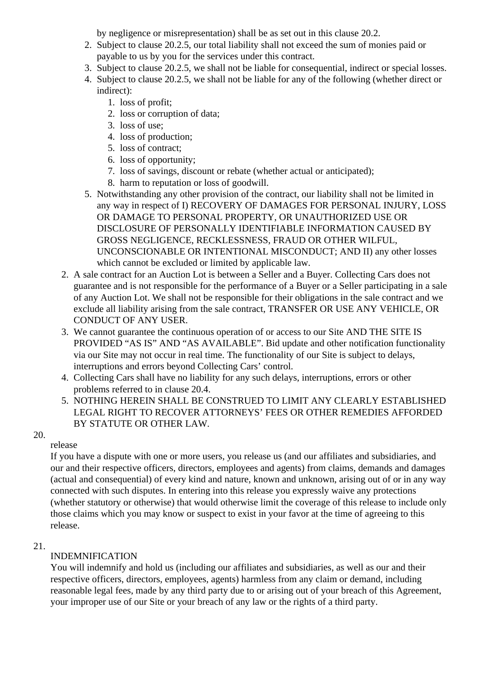by negligence or misrepresentation) shall be as set out in this clause 20.2.

- 2. Subject to clause 20.2.5, our total liability shall not exceed the sum of monies paid or payable to us by you for the services under this contract.
- 3. Subject to clause 20.2.5, we shall not be liable for consequential, indirect or special losses.
- 4. Subject to clause 20.2.5, we shall not be liable for any of the following (whether direct or indirect):
	- 1. loss of profit;
	- 2. loss or corruption of data;
	- 3. loss of use;
	- 4. loss of production;
	- 5. loss of contract;
	- 6. loss of opportunity;
	- 7. loss of savings, discount or rebate (whether actual or anticipated);
	- 8. harm to reputation or loss of goodwill.
- 5. Notwithstanding any other provision of the contract, our liability shall not be limited in any way in respect of I) RECOVERY OF DAMAGES FOR PERSONAL INJURY, LOSS OR DAMAGE TO PERSONAL PROPERTY, OR UNAUTHORIZED USE OR DISCLOSURE OF PERSONALLY IDENTIFIABLE INFORMATION CAUSED BY GROSS NEGLIGENCE, RECKLESSNESS, FRAUD OR OTHER WILFUL, UNCONSCIONABLE OR INTENTIONAL MISCONDUCT; AND II) any other losses which cannot be excluded or limited by applicable law.
- 2. A sale contract for an Auction Lot is between a Seller and a Buyer. Collecting Cars does not guarantee and is not responsible for the performance of a Buyer or a Seller participating in a sale of any Auction Lot. We shall not be responsible for their obligations in the sale contract and we exclude all liability arising from the sale contract, TRANSFER OR USE ANY VEHICLE, OR CONDUCT OF ANY USER.
- 3. We cannot guarantee the continuous operation of or access to our Site AND THE SITE IS PROVIDED "AS IS" AND "AS AVAILABLE". Bid update and other notification functionality via our Site may not occur in real time. The functionality of our Site is subject to delays, interruptions and errors beyond Collecting Cars' control.
- 4. Collecting Cars shall have no liability for any such delays, interruptions, errors or other problems referred to in clause 20.4.
- 5. NOTHING HEREIN SHALL BE CONSTRUED TO LIMIT ANY CLEARLY ESTABLISHED LEGAL RIGHT TO RECOVER ATTORNEYS' FEES OR OTHER REMEDIES AFFORDED BY STATUTE OR OTHER LAW.

# 20.

# release

If you have a dispute with one or more users, you release us (and our affiliates and subsidiaries, and our and their respective officers, directors, employees and agents) from claims, demands and damages (actual and consequential) of every kind and nature, known and unknown, arising out of or in any way connected with such disputes. In entering into this release you expressly waive any protections (whether statutory or otherwise) that would otherwise limit the coverage of this release to include only those claims which you may know or suspect to exist in your favor at the time of agreeing to this release.

# 21.

# INDEMNIFICATION

You will indemnify and hold us (including our affiliates and subsidiaries, as well as our and their respective officers, directors, employees, agents) harmless from any claim or demand, including reasonable legal fees, made by any third party due to or arising out of your breach of this Agreement, your improper use of our Site or your breach of any law or the rights of a third party.